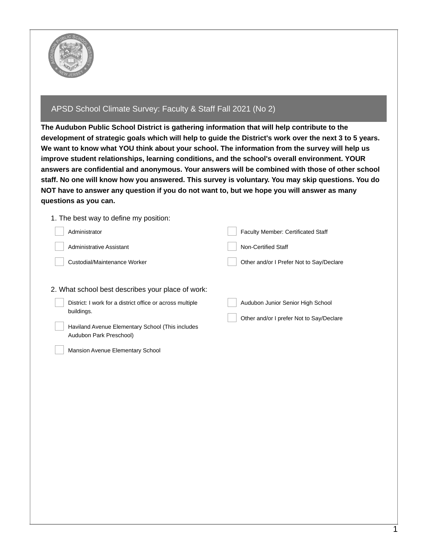

## APSD School Climate Survey: Faculty & Staff Fall 2021 (No 2)

**The Audubon Public School District is gathering information that will help contribute to the** development of strategic goals which will help to guide the District's work over the next 3 to 5 years. **We want to know what YOU think about your school. The information from the survey will help us improve student relationships, learning conditions, and the school's overall environment. YOUR answers are confidential and anonymous. Your answers will be combined with those of other school staff. No one will know how you answered. This survey is voluntary. You may skip questions. You do** NOT have to answer any question if you do not want to, but we hope you will answer as many **questions as you can.**

| 1. The best way to define my position:                                                                                                                                                                      |                                                                               |
|-------------------------------------------------------------------------------------------------------------------------------------------------------------------------------------------------------------|-------------------------------------------------------------------------------|
| Administrator                                                                                                                                                                                               | Faculty Member: Certificated Staff                                            |
| <b>Administrative Assistant</b>                                                                                                                                                                             | <b>Non-Certified Staff</b>                                                    |
| Custodial/Maintenance Worker                                                                                                                                                                                | Other and/or I Prefer Not to Say/Declare                                      |
| 2. What school best describes your place of work:<br>District: I work for a district office or across multiple<br>buildings.<br>Haviland Avenue Elementary School (This includes<br>Audubon Park Preschool) | Audubon Junior Senior High School<br>Other and/or I prefer Not to Say/Declare |
| <b>Mansion Avenue Elementary School</b>                                                                                                                                                                     |                                                                               |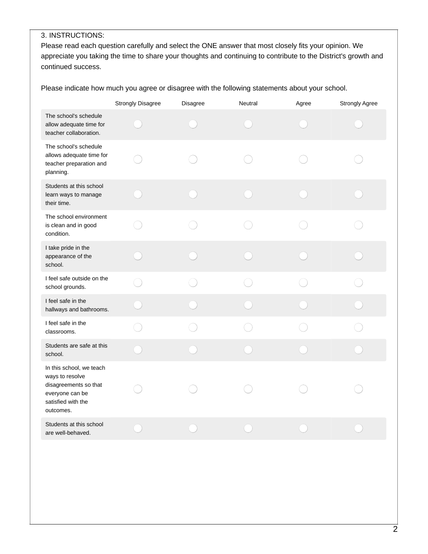## 3. INSTRUCTIONS:

Please read each question carefully and select the ONE answer that most closely fits your opinion. We appreciate you taking the time to share your thoughts and continuing to contribute to the District's growth and continued success.

Please indicate how much you agree or disagree with the following statements about your school.

|                                                                                                                            | <b>Strongly Disagree</b> | Disagree | Neutral | Agree | Strongly Agree |
|----------------------------------------------------------------------------------------------------------------------------|--------------------------|----------|---------|-------|----------------|
| The school's schedule<br>allow adequate time for<br>teacher collaboration.                                                 |                          |          |         |       |                |
| The school's schedule<br>allows adequate time for<br>teacher preparation and<br>planning.                                  |                          |          |         |       |                |
| Students at this school<br>learn ways to manage<br>their time.                                                             |                          |          |         |       |                |
| The school environment<br>is clean and in good<br>condition.                                                               |                          |          |         |       |                |
| I take pride in the<br>appearance of the<br>school.                                                                        |                          |          |         |       |                |
| I feel safe outside on the<br>school grounds.                                                                              |                          |          |         |       |                |
| I feel safe in the<br>hallways and bathrooms.                                                                              |                          |          |         |       |                |
| I feel safe in the<br>classrooms.                                                                                          |                          |          |         |       |                |
| Students are safe at this<br>school.                                                                                       |                          |          |         |       |                |
| In this school, we teach<br>ways to resolve<br>disagreements so that<br>everyone can be<br>satisfied with the<br>outcomes. |                          |          |         |       |                |
| Students at this school<br>are well-behaved.                                                                               |                          |          |         |       |                |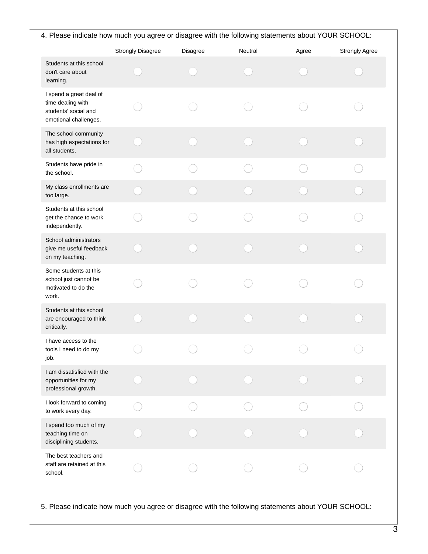| 4. Please indicate how much you agree or disagree with the following statements about YOUR SCHOOL: |                          |          |         |       |                       |  |
|----------------------------------------------------------------------------------------------------|--------------------------|----------|---------|-------|-----------------------|--|
|                                                                                                    | <b>Strongly Disagree</b> | Disagree | Neutral | Agree | <b>Strongly Agree</b> |  |
| Students at this school<br>don't care about<br>learning.                                           |                          |          |         |       |                       |  |
| I spend a great deal of<br>time dealing with<br>students' social and<br>emotional challenges.      |                          |          |         |       |                       |  |
| The school community<br>has high expectations for<br>all students.                                 |                          |          |         |       |                       |  |
| Students have pride in<br>the school.                                                              |                          |          |         |       |                       |  |
| My class enrollments are<br>too large.                                                             |                          |          |         |       |                       |  |
| Students at this school<br>get the chance to work<br>independently.                                |                          |          |         |       |                       |  |
| School administrators<br>give me useful feedback<br>on my teaching.                                |                          |          |         |       |                       |  |
| Some students at this<br>school just cannot be<br>motivated to do the<br>work.                     |                          |          |         |       |                       |  |
| Students at this school<br>are encouraged to think<br>critically.                                  |                          |          |         |       |                       |  |
| I have access to the<br>tools I need to do my<br>job.                                              |                          |          |         |       |                       |  |
| I am dissatisfied with the<br>opportunities for my<br>professional growth.                         |                          |          |         |       |                       |  |
| I look forward to coming<br>to work every day.                                                     |                          |          |         |       |                       |  |
| I spend too much of my<br>teaching time on<br>disciplining students.                               |                          |          |         |       |                       |  |
| The best teachers and<br>staff are retained at this<br>school.                                     |                          |          |         |       |                       |  |
| 5. Please indicate how much you agree or disagree with the following statements about YOUR SCHOOL: |                          |          |         |       |                       |  |

 $\overline{3}$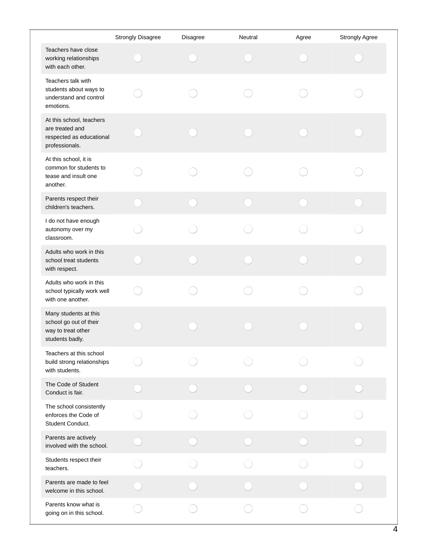|                                                                                           | <b>Strongly Disagree</b> | Disagree | <b>Neutral</b> | Agree | Strongly Agree |
|-------------------------------------------------------------------------------------------|--------------------------|----------|----------------|-------|----------------|
| Teachers have close<br>working relationships<br>with each other.                          |                          |          |                |       |                |
| Teachers talk with<br>students about ways to<br>understand and control<br>emotions.       |                          |          |                |       |                |
| At this school, teachers<br>are treated and<br>respected as educational<br>professionals. |                          |          |                |       |                |
| At this school, it is<br>common for students to<br>tease and insult one<br>another.       |                          |          |                |       |                |
| Parents respect their<br>children's teachers.                                             |                          |          |                |       |                |
| I do not have enough<br>autonomy over my<br>classroom.                                    |                          |          |                |       |                |
| Adults who work in this<br>school treat students<br>with respect.                         |                          |          |                |       |                |
| Adults who work in this<br>school typically work well<br>with one another.                |                          |          |                |       |                |
| Many students at this<br>school go out of their<br>way to treat other<br>students badly.  |                          |          |                |       |                |
| Teachers at this school<br>build strong relationships<br>with students.                   |                          |          |                |       |                |
| The Code of Student<br>Conduct is fair.                                                   |                          |          |                |       |                |
| The school consistently<br>enforces the Code of<br>Student Conduct.                       |                          |          |                |       |                |
| Parents are actively<br>involved with the school.                                         |                          |          |                |       |                |
| Students respect their<br>teachers.                                                       |                          |          |                |       |                |
| Parents are made to feel<br>welcome in this school.                                       |                          |          |                |       |                |
| Parents know what is<br>going on in this school.                                          |                          |          |                |       |                |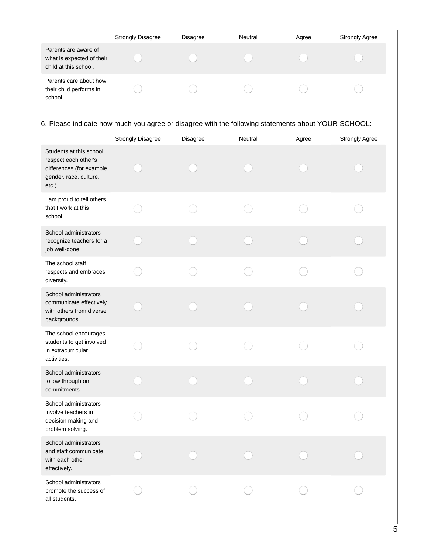|                                                                            | <b>Strongly Disagree</b> | <b>Disagree</b> | Neutral | Agree | <b>Strongly Agree</b> |
|----------------------------------------------------------------------------|--------------------------|-----------------|---------|-------|-----------------------|
| Parents are aware of<br>what is expected of their<br>child at this school. |                          |                 |         |       |                       |
| Parents care about how<br>their child performs in<br>school.               |                          |                 |         |       |                       |

## 6. Please indicate how much you agree or disagree with the following statements about YOUR SCHOOL:

|                                                                                                                  | <b>Strongly Disagree</b> | Disagree | Neutral | Agree | <b>Strongly Agree</b> |
|------------------------------------------------------------------------------------------------------------------|--------------------------|----------|---------|-------|-----------------------|
| Students at this school<br>respect each other's<br>differences (for example,<br>gender, race, culture,<br>etc.). |                          |          |         |       |                       |
| I am proud to tell others<br>that I work at this<br>school.                                                      |                          |          |         |       |                       |
| School administrators<br>recognize teachers for a<br>job well-done.                                              |                          |          |         |       |                       |
| The school staff<br>respects and embraces<br>diversity.                                                          |                          |          |         |       |                       |
| School administrators<br>communicate effectively<br>with others from diverse<br>backgrounds.                     |                          |          |         |       |                       |
| The school encourages<br>students to get involved<br>in extracurricular<br>activities.                           |                          |          |         |       |                       |
| School administrators<br>follow through on<br>commitments.                                                       |                          |          |         |       |                       |
| School administrators<br>involve teachers in<br>decision making and<br>problem solving.                          |                          |          |         |       |                       |
| School administrators<br>and staff communicate<br>with each other<br>effectively.                                |                          |          |         |       |                       |
| School administrators<br>promote the success of<br>all students.                                                 |                          |          |         |       |                       |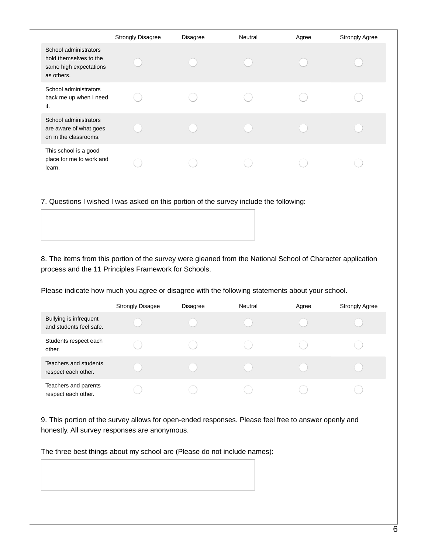|                                                                                         | <b>Strongly Disagree</b> | <b>Disagree</b> | Neutral | Agree | <b>Strongly Agree</b> |
|-----------------------------------------------------------------------------------------|--------------------------|-----------------|---------|-------|-----------------------|
| School administrators<br>hold themselves to the<br>same high expectations<br>as others. |                          |                 |         |       |                       |
| School administrators<br>back me up when I need<br>it.                                  |                          |                 |         |       |                       |
| School administrators<br>are aware of what goes<br>on in the classrooms.                |                          |                 |         |       |                       |
| This school is a good<br>place for me to work and<br>learn.                             |                          |                 |         |       |                       |

7. Questions I wished I was asked on this portion of the survey include the following:

8. The items from this portion of the survey were gleaned from the National School of Character application process and the 11 Principles Framework for Schools.

Please indicate how much you agree or disagree with the following statements about your school.

|                                                   | <b>Strongly Disagee</b> | <b>Disagree</b> | Neutral | Agree | <b>Strongly Agree</b> |
|---------------------------------------------------|-------------------------|-----------------|---------|-------|-----------------------|
| Bullying is infrequent<br>and students feel safe. |                         |                 |         |       |                       |
| Students respect each<br>other.                   |                         |                 |         |       |                       |
| Teachers and students<br>respect each other.      |                         |                 |         |       |                       |
| Teachers and parents<br>respect each other.       |                         |                 |         |       |                       |

9. This portion of the survey allows for open-ended responses. Please feel free to answer openly and honestly. All survey responses are anonymous.

The three best things about my school are (Please do not include names):